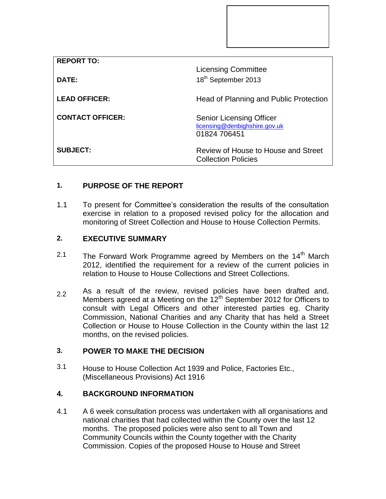| <b>REPORT TO:</b>       |                                                                  |
|-------------------------|------------------------------------------------------------------|
|                         | <b>Licensing Committee</b>                                       |
| DATE:                   | 18 <sup>th</sup> September 2013                                  |
|                         |                                                                  |
| <b>LEAD OFFICER:</b>    | Head of Planning and Public Protection                           |
| <b>CONTACT OFFICER:</b> |                                                                  |
|                         | <b>Senior Licensing Officer</b><br>licensing@denbighshire.gov.uk |
|                         | 01824 706451                                                     |
|                         |                                                                  |
| <b>SUBJECT:</b>         | Review of House to House and Street                              |
|                         | <b>Collection Policies</b>                                       |

# **1. PURPOSE OF THE REPORT**

1.1 To present for Committee's consideration the results of the consultation exercise in relation to a proposed revised policy for the allocation and monitoring of Street Collection and House to House Collection Permits.

### **2. EXECUTIVE SUMMARY**

- 2.1 The Forward Work Programme agreed by Members on the 14<sup>th</sup> March 2012, identified the requirement for a review of the current policies in relation to House to House Collections and Street Collections.
- 2.2 As a result of the review, revised policies have been drafted and, Members agreed at a Meeting on the  $12<sup>th</sup>$  September 2012 for Officers to consult with Legal Officers and other interested parties eg. Charity Commission, National Charities and any Charity that has held a Street Collection or House to House Collection in the County within the last 12 months, on the revised policies.

## **3. POWER TO MAKE THE DECISION**

3.1 House to House Collection Act 1939 and Police, Factories Etc., (Miscellaneous Provisions) Act 1916

#### **4. BACKGROUND INFORMATION**

4.1 A 6 week consultation process was undertaken with all organisations and national charities that had collected within the County over the last 12 months. The proposed policies were also sent to all Town and Community Councils within the County together with the Charity Commission. Copies of the proposed House to House and Street